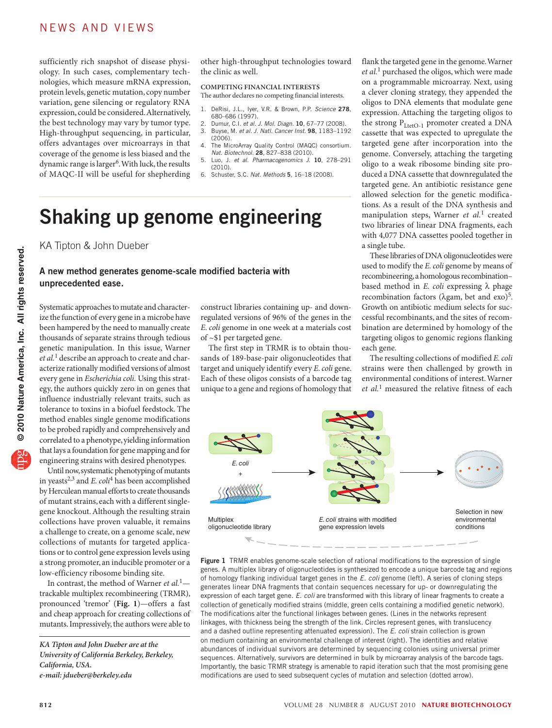sufficiently rich snapshot of disease physiology. In such cases, complementary technologies, which measure mRNA expression, protein levels, genetic mutation, copy number variation, gene silencing or regulatory RNA expression, could be considered. Alternatively, the best technology may vary by tumor type. High-throughput sequencing, in particular, offers advantages over microarrays in that coverage of the genome is less biased and the dynamic range is larger<sup>6</sup>. With luck, the results of MAQC-II will be useful for shepherding

other high-throughput technologies toward the clinic as well.

**COMPETING FINANCIAL INTERESTS** The author declares no competing financial interests.

- 1. DeRisi, J.L., Iyer, V.R. & Brown, P.P. *Science* 278, 680–686 (1997).
- 2. Dumur, C.I. *et al. J. Mol. Diagn*. 10, 67–77 (2008). 3. Buyse, M. *et al. J. Natl. Cancer Inst*. 98, 1183–1192
- (2006). 4. The MicroArray Quality Control (MAQC) consortium. *Nat. Biotechnol.* 28, 827–838 (2010).
- 5. Luo, J. *et al. Pharmacogenomics J*. 10, 278–291 (2010).
- 6. Schuster, S.C. *Nat. Methods* 5, 16–18 (2008).

# Shaking up genome engineering

KA Tipton & John Dueber

### A new method generates genome-scale modified bacteria with unprecedented ease.

Systematic approaches to mutate and characterize the function of every gene in a microbe have been hampered by the need to manually create thousands of separate strains through tedious genetic manipulation. In this issue, Warner *et al.*1 describe an approach to create and characterize rationally modified versions of almost every gene in *Escherichia coli.* Using this strategy, the authors quickly zero in on genes that influence industrially relevant traits, such as tolerance to toxins in a biofuel feedstock. The method enables single genome modifications to be probed rapidly and comprehensively and correlated to a phenotype, yielding information that lays a foundation for gene mapping and for engineering strains with desired phenotypes.

Until now, systematic phenotyping of mutants in yeasts2,3 and *E. coli*4 has been accomplished by Herculean manual efforts to create thousands of mutant strains, each with a different singlegene knockout. Although the resulting strain collections have proven valuable, it remains a challenge to create, on a genome scale, new collections of mutants for targeted applications or to control gene expression levels using a strong promoter, an inducible promoter or a low-efficiency ribosome binding site.

In contrast, the method of Warner *et al.*1 trackable multiplex recombineering (TRMR), pronounced 'tremor' (**Fig. 1**)—offers a fast and cheap approach for creating collections of mutants. Impressively, the authors were able to

construct libraries containing up- and downregulated versions of 96% of the genes in the *E. coli* genome in one week at a materials cost of ~\$1 per targeted gene.

The first step in TRMR is to obtain thousands of 189-base-pair oligonucleotides that target and uniquely identify every *E. coli* gene. Each of these oligos consists of a barcode tag unique to a gene and regions of homology that

flank the targeted gene in the genome. Warner *et al.*1 purchased the oligos, which were made on a programmable microarray. Next, using a clever cloning strategy, they appended the oligos to DNA elements that modulate gene expression. Attaching the targeting oligos to the strong  $P_{\text{LetO-1}}$  promoter created a DNA cassette that was expected to upregulate the targeted gene after incorporation into the genome. Conversely, attaching the targeting oligo to a weak ribosome binding site produced a DNA cassette that downregulated the targeted gene. An antibiotic resistance gene allowed selection for the genetic modifications. As a result of the DNA synthesis and manipulation steps, Warner *et al.*1 created two libraries of linear DNA fragments, each with 4,077 DNA cassettes pooled together in a single tube.

These libraries of DNA oligonucleotides were used to modify the *E. coli* genome by means of recombineering, a homologous recombination– based method in *E. coli* expressing λ phage recombination factors ( $λ$ gam, bet and exo)<sup>5</sup>. Growth on antibiotic medium selects for successful recombinants, and the sites of recombination are determined by homology of the targeting oligos to genomic regions flanking each gene.

The resulting collections of modified *E.coli* strains were then challenged by growth in environmental conditions of interest. Warner *et al.*1 measured the relative fitness of each



Figure 1 TRMR enables genome-scale selection of rational modifications to the expression of single genes. A multiplex library of oligonucleotides is synthesized to encode a unique barcode tag and regions of homology flanking individual target genes in the *E. coli* genome (left). A series of cloning steps generates linear DNA fragments that contain sequences necessary for up- or downregulating the expression of each target gene. *E. coli* are transformed with this library of linear fragments to create a collection of genetically modified strains (middle, green cells containing a modified genetic network). The modifications alter the functional linkages between genes. (Lines in the networks represent linkages, with thickness being the strength of the link. Circles represent genes, with translucency and a dashed outline representing attenuated expression). The *E. coli* strain collection is grown on medium containing an environmental challenge of interest (right). The identities and relative abundances of individual survivors are determined by sequencing colonies using universal primer sequences. Alternatively, survivors are determined in bulk by microarray analysis of the barcode tags. Importantly, the basic TRMR strategy is amenable to rapid iteration such that the most promising gene modifications are used to seed subsequent cycles of mutation and selection (dotted arrow).

*KA Tipton and John Dueber are at the University of California Berkeley, Berkeley, California, USA. e-mail: jdueber@berkeley.edu*